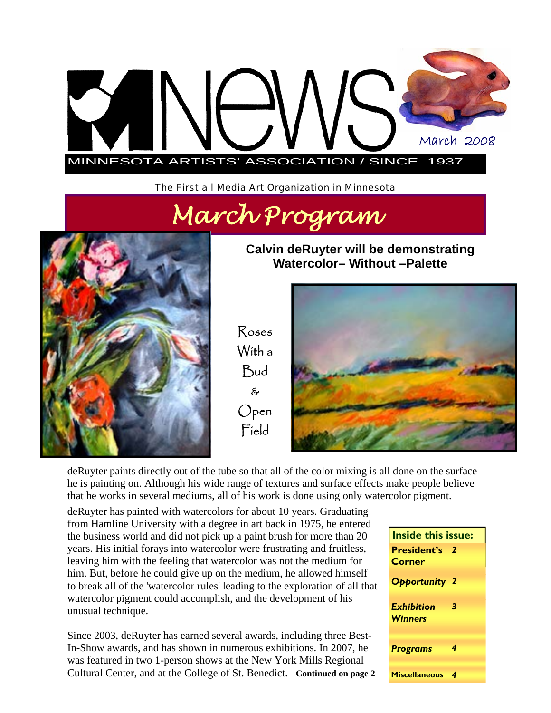

The First all Media Art Organization in Minnesota





**Calvin deRuyter will be demonstrating Watercolor– Without –Palette** 

Roses With a Bud & Open Field



deRuyter paints directly out of the tube so that all of the color mixing is all done on the surface he is painting on. Although his wide range of textures and surface effects make people believe that he works in several mediums, all of his work is done using only watercolor pigment.

deRuyter has painted with watercolors for about 10 years. Graduating from Hamline University with a degree in art back in 1975, he entered the business world and did not pick up a paint brush for more than 20 years. His initial forays into watercolor were frustrating and fruitless, leaving him with the feeling that watercolor was not the medium for him. But, before he could give up on the medium, he allowed himself to break all of the 'watercolor rules' leading to the exploration of all that watercolor pigment could accomplish, and the development of his unusual technique.

Since 2003, deRuyter has earned several awards, including three Best-In-Show awards, and has shown in numerous exhibitions. In 2007, he was featured in two 1-person shows at the New York Mills Regional Cultural Center, and at the College of St. Benedict. **Continued on page 2** 

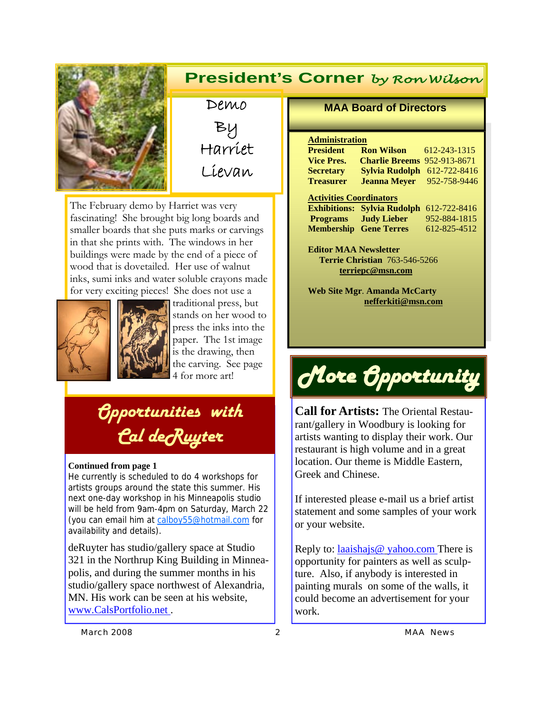

### **President's Corner** *by Ron Wilson*

Demo By Harriet Lievan

The February demo by Harriet was very fascinating! She brought big long boards and smaller boards that she puts marks or carvings in that she prints with. The windows in her buildings were made by the end of a piece of wood that is dovetailed. Her use of walnut inks, sumi inks and water soluble crayons made for very exciting pieces! She does not use a



traditional press, but stands on her wood to press the inks into the paper. The 1st image is the drawing, then the carving. See page 4 for more art!

## *Opportunities with Cal deRuyter*

#### **Continued from page 1**

He currently is scheduled to do 4 workshops for artists groups around the state this summer. His next one-day workshop in his Minneapolis studio will be held from 9am-4pm on Saturday, March 22 (you can email him at calboy55@hotmail.com for availability and details).

deRuyter has studio/gallery space at Studio 321 in the Northrup King Building in Minneapolis, and during the summer months in his studio/gallery space northwest of Alexandria, MN. His work can be seen at his website, www.CalsPortfolio.net .

#### **MAA Board of Directors**

#### **Administration**

| <b>President</b>               | <b>Ron Wilson</b>                  | 612-243-1315 |
|--------------------------------|------------------------------------|--------------|
| <b>Vice Pres.</b>              | <b>Charlie Breems</b> 952-913-8671 |              |
| <b>Secretary</b>               | <b>Sylvia Rudolph</b> 612-722-8416 |              |
| <b>Treasurer</b>               | <b>Jeanna Mever</b>                | 952-758-9446 |
| <b>Activities Coordinators</b> |                                    |              |

**Exhibitions: Sylvia Rudolph** 612-722-8416 **Programs Judy Lieber** 952-884-1815 **Membership Gene Terres** 612-825-4512

**Editor MAA Newsletter Terrie Christian** 763-546-5266 **terriepc@msn.com**

**Web Site Mgr**. **Amanda McCarty nefferkiti@msn.com** 

# *More Opportunity*

**Call for Artists:** The Oriental Restaurant/gallery in Woodbury is looking for artists wanting to display their work. Our restaurant is high volume and in a great location. Our theme is Middle Eastern, Greek and Chinese.

If interested please e-mail us a brief artist statement and some samples of your work or your website.

Reply to: laaishajs@ yahoo.com There is opportunity for painters as well as sculpture. Also, if anybody is interested in painting murals on some of the walls, it could become an advertisement for your work.

*March 2008 2 MAA News*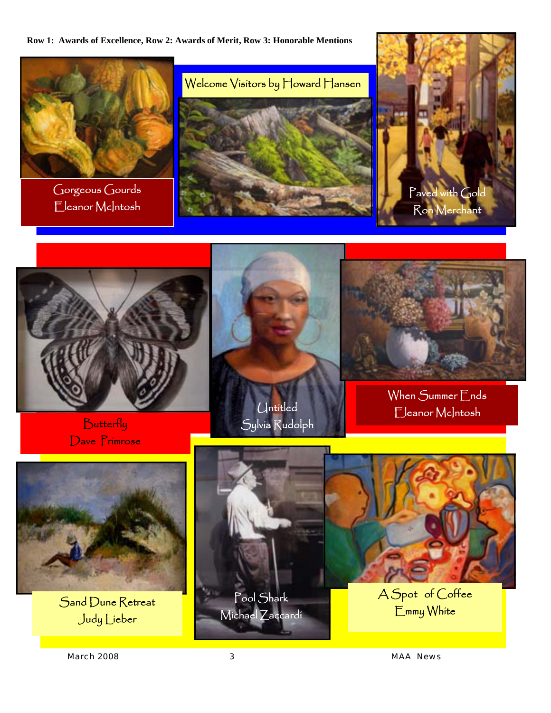**Row 1: Awards of Excellence, Row 2: Awards of Merit, Row 3: Honorable Mentions** 



Gorgeous Gourds Eleanor McIntosh







**Butterfly** Dave Primrose





When Summer Ends Eleanor McIntosh



Sand Dune Retreat Judy Lieber



*March 2008 3 MAA News*